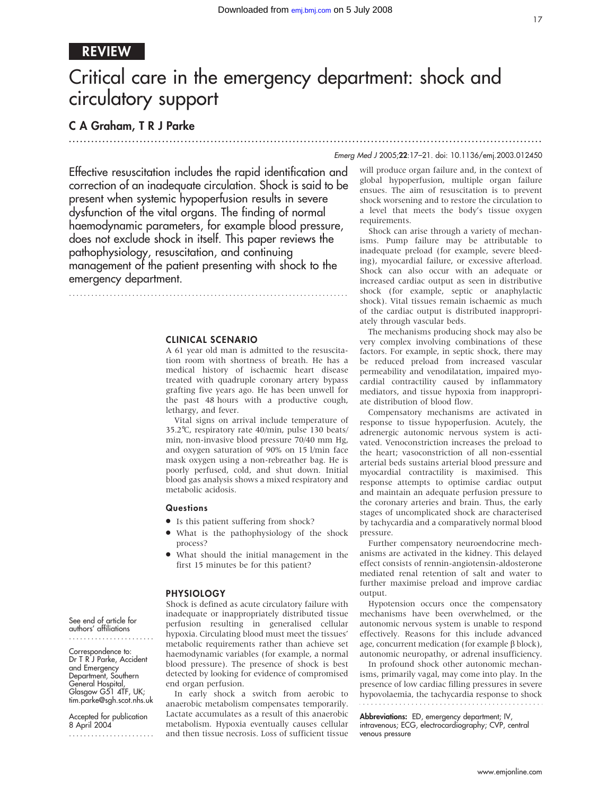...............................................................................................................................

# REVIEW

# Critical care in the emergency department: shock and circulatory support

# C A Graham, T R J Parke

#### Emerg Med J 2005;22:17–21. doi: 10.1136/emj.2003.012450

Effective resuscitation includes the rapid identification and correction of an inadequate circulation. Shock is said to be present when systemic hypoperfusion results in severe dysfunction of the vital organs. The finding of normal haemodynamic parameters, for example blood pressure, does not exclude shock in itself. This paper reviews the pathophysiology, resuscitation, and continuing management of the patient presenting with shock to the emergency department.

#### CLINICAL SCENARIO

...........................................................................

A 61 year old man is admitted to the resuscitation room with shortness of breath. He has a medical history of ischaemic heart disease treated with quadruple coronary artery bypass grafting five years ago. He has been unwell for the past 48 hours with a productive cough, lethargy, and fever.

Vital signs on arrival include temperature of 35.2˚C, respiratory rate 40/min, pulse 130 beats/ min, non-invasive blood pressure 70/40 mm Hg, and oxygen saturation of 90% on 15 l/min face mask oxygen using a non-rebreather bag. He is poorly perfused, cold, and shut down. Initial blood gas analysis shows a mixed respiratory and metabolic acidosis.

#### **Questions**

- Is this patient suffering from shock?
- What is the pathophysiology of the shock process?
- What should the initial management in the first 15 minutes be for this patient?

#### PHYSIOLOGY

Shock is defined as acute circulatory failure with inadequate or inappropriately distributed tissue perfusion resulting in generalised cellular hypoxia. Circulating blood must meet the tissues' metabolic requirements rather than achieve set haemodynamic variables (for example, a normal blood pressure). The presence of shock is best detected by looking for evidence of compromised end organ perfusion.

In early shock a switch from aerobic to anaerobic metabolism compensates temporarily. Lactate accumulates as a result of this anaerobic metabolism. Hypoxia eventually causes cellular and then tissue necrosis. Loss of sufficient tissue will produce organ failure and, in the context of global hypoperfusion, multiple organ failure ensues. The aim of resuscitation is to prevent shock worsening and to restore the circulation to a level that meets the body's tissue oxygen requirements.

Shock can arise through a variety of mechanisms. Pump failure may be attributable to inadequate preload (for example, severe bleeding), myocardial failure, or excessive afterload. Shock can also occur with an adequate or increased cardiac output as seen in distributive shock (for example, septic or anaphylactic shock). Vital tissues remain ischaemic as much of the cardiac output is distributed inappropriately through vascular beds.

The mechanisms producing shock may also be very complex involving combinations of these factors. For example, in septic shock, there may be reduced preload from increased vascular permeability and venodilatation, impaired myocardial contractility caused by inflammatory mediators, and tissue hypoxia from inappropriate distribution of blood flow.

Compensatory mechanisms are activated in response to tissue hypoperfusion. Acutely, the adrenergic autonomic nervous system is activated. Venoconstriction increases the preload to the heart; vasoconstriction of all non-essential arterial beds sustains arterial blood pressure and myocardial contractility is maximised. This response attempts to optimise cardiac output and maintain an adequate perfusion pressure to the coronary arteries and brain. Thus, the early stages of uncomplicated shock are characterised by tachycardia and a comparatively normal blood pressure.

Further compensatory neuroendocrine mechanisms are activated in the kidney. This delayed effect consists of rennin-angiotensin-aldosterone mediated renal retention of salt and water to further maximise preload and improve cardiac output.

Hypotension occurs once the compensatory mechanisms have been overwhelmed, or the autonomic nervous system is unable to respond effectively. Reasons for this include advanced age, concurrent medication (for example  $\beta$  block), autonomic neuropathy, or adrenal insufficiency.

In profound shock other autonomic mechanisms, primarily vagal, may come into play. In the presence of low cardiac filling pressures in severe hypovolaemia, the tachycardia response to shock 

Abbreviations: ED, emergency department; IV, intravenous; ECG, electrocardiography; CVP, central venous pressure

See end of article for authors' affiliations .......................

Correspondence to: Dr T R'J Parke, Accident and Emergency Department, Southern General Hospital, Glasgow G51 4TF, UK; tim.parke@sgh.scot.nhs.uk

Accepted for publication 8 April 2004 .......................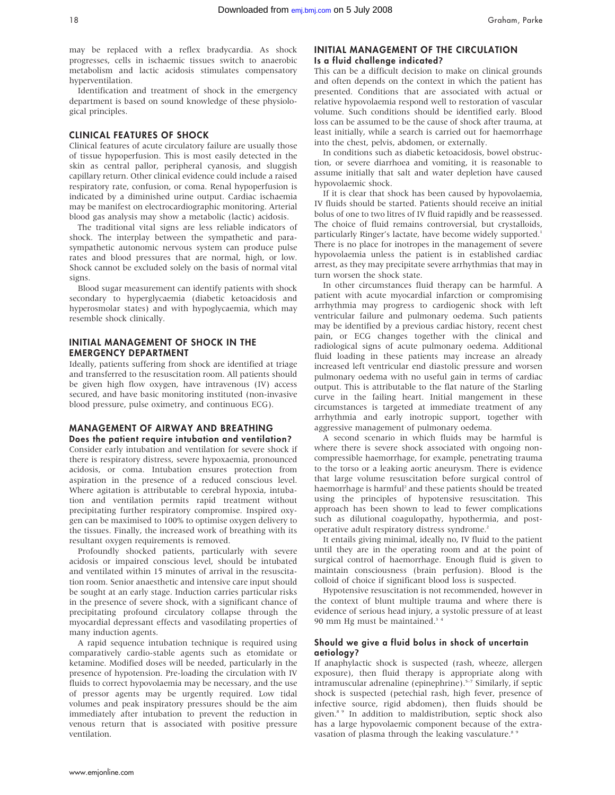may be replaced with a reflex bradycardia. As shock progresses, cells in ischaemic tissues switch to anaerobic metabolism and lactic acidosis stimulates compensatory hyperventilation.

Identification and treatment of shock in the emergency department is based on sound knowledge of these physiological principles.

#### CLINICAL FEATURES OF SHOCK

Clinical features of acute circulatory failure are usually those of tissue hypoperfusion. This is most easily detected in the skin as central pallor, peripheral cyanosis, and sluggish capillary return. Other clinical evidence could include a raised respiratory rate, confusion, or coma. Renal hypoperfusion is indicated by a diminished urine output. Cardiac ischaemia may be manifest on electrocardiographic monitoring. Arterial blood gas analysis may show a metabolic (lactic) acidosis.

The traditional vital signs are less reliable indicators of shock. The interplay between the sympathetic and parasympathetic autonomic nervous system can produce pulse rates and blood pressures that are normal, high, or low. Shock cannot be excluded solely on the basis of normal vital signs.

Blood sugar measurement can identify patients with shock secondary to hyperglycaemia (diabetic ketoacidosis and hyperosmolar states) and with hypoglycaemia, which may resemble shock clinically.

## INITIAL MANAGEMENT OF SHOCK IN THE EMERGENCY DEPARTMENT

Ideally, patients suffering from shock are identified at triage and transferred to the resuscitation room. All patients should be given high flow oxygen, have intravenous (IV) access secured, and have basic monitoring instituted (non-invasive blood pressure, pulse oximetry, and continuous ECG).

#### MANAGEMENT OF AIRWAY AND BREATHING Does the patient require intubation and ventilation?

Consider early intubation and ventilation for severe shock if there is respiratory distress, severe hypoxaemia, pronounced acidosis, or coma. Intubation ensures protection from aspiration in the presence of a reduced conscious level. Where agitation is attributable to cerebral hypoxia, intubation and ventilation permits rapid treatment without precipitating further respiratory compromise. Inspired oxygen can be maximised to 100% to optimise oxygen delivery to the tissues. Finally, the increased work of breathing with its resultant oxygen requirements is removed.

Profoundly shocked patients, particularly with severe acidosis or impaired conscious level, should be intubated and ventilated within 15 minutes of arrival in the resuscitation room. Senior anaesthetic and intensive care input should be sought at an early stage. Induction carries particular risks in the presence of severe shock, with a significant chance of precipitating profound circulatory collapse through the myocardial depressant effects and vasodilating properties of many induction agents.

A rapid sequence intubation technique is required using comparatively cardio-stable agents such as etomidate or ketamine. Modified doses will be needed, particularly in the presence of hypotension. Pre-loading the circulation with IV fluids to correct hypovolaemia may be necessary, and the use of pressor agents may be urgently required. Low tidal volumes and peak inspiratory pressures should be the aim immediately after intubation to prevent the reduction in venous return that is associated with positive pressure ventilation.

#### INITIAL MANAGEMENT OF THE CIRCULATION Is a fluid challenge indicated?

This can be a difficult decision to make on clinical grounds and often depends on the context in which the patient has presented. Conditions that are associated with actual or relative hypovolaemia respond well to restoration of vascular volume. Such conditions should be identified early. Blood loss can be assumed to be the cause of shock after trauma, at least initially, while a search is carried out for haemorrhage into the chest, pelvis, abdomen, or externally.

In conditions such as diabetic ketoacidosis, bowel obstruction, or severe diarrhoea and vomiting, it is reasonable to assume initially that salt and water depletion have caused hypovolaemic shock.

If it is clear that shock has been caused by hypovolaemia, IV fluids should be started. Patients should receive an initial bolus of one to two litres of IV fluid rapidly and be reassessed. The choice of fluid remains controversial, but crystalloids, particularly Ringer's lactate, have become widely supported.<sup>1</sup> There is no place for inotropes in the management of severe hypovolaemia unless the patient is in established cardiac arrest, as they may precipitate severe arrhythmias that may in turn worsen the shock state.

In other circumstances fluid therapy can be harmful. A patient with acute myocardial infarction or compromising arrhythmia may progress to cardiogenic shock with left ventricular failure and pulmonary oedema. Such patients may be identified by a previous cardiac history, recent chest pain, or ECG changes together with the clinical and radiological signs of acute pulmonary oedema. Additional fluid loading in these patients may increase an already increased left ventricular end diastolic pressure and worsen pulmonary oedema with no useful gain in terms of cardiac output. This is attributable to the flat nature of the Starling curve in the failing heart. Initial mangement in these circumstances is targeted at immediate treatment of any arrhythmia and early inotropic support, together with aggressive management of pulmonary oedema.

A second scenario in which fluids may be harmful is where there is severe shock associated with ongoing noncompressible haemorrhage, for example, penetrating trauma to the torso or a leaking aortic aneurysm. There is evidence that large volume resuscitation before surgical control of haemorrhage is harmful<sup>2</sup> and these patients should be treated using the principles of hypotensive resuscitation. This approach has been shown to lead to fewer complications such as dilutional coagulopathy, hypothermia, and postoperative adult respiratory distress syndrome.<sup>2</sup>

It entails giving minimal, ideally no, IV fluid to the patient until they are in the operating room and at the point of surgical control of haemorrhage. Enough fluid is given to maintain consciousness (brain perfusion). Blood is the colloid of choice if significant blood loss is suspected.

Hypotensive resuscitation is not recommended, however in the context of blunt multiple trauma and where there is evidence of serious head injury, a systolic pressure of at least 90 mm Hg must be maintained.<sup>3</sup>

#### Should we give a fluid bolus in shock of uncertain aetiology?

If anaphylactic shock is suspected (rash, wheeze, allergen exposure), then fluid therapy is appropriate along with intramuscular adrenaline (epinephrine).<sup>5-7</sup> Similarly, if septic shock is suspected (petechial rash, high fever, presence of infective source, rigid abdomen), then fluids should be given.8 9 In addition to maldistribution, septic shock also has a large hypovolaemic component because of the extravasation of plasma through the leaking vasculature.<sup>8</sup>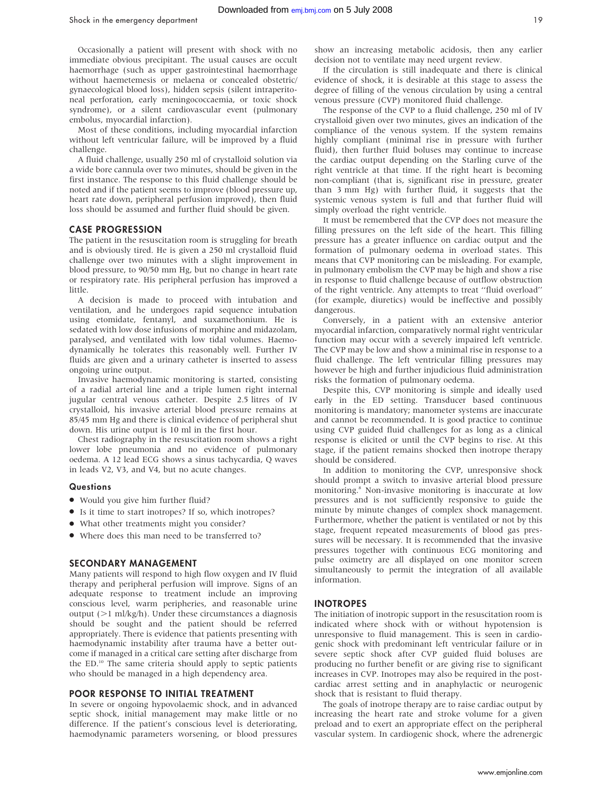Occasionally a patient will present with shock with no immediate obvious precipitant. The usual causes are occult haemorrhage (such as upper gastrointestinal haemorrhage without haemetemesis or melaena or concealed obstetric/ gynaecological blood loss), hidden sepsis (silent intraperitoneal perforation, early meningococcaemia, or toxic shock syndrome), or a silent cardiovascular event (pulmonary embolus, myocardial infarction).

Most of these conditions, including myocardial infarction without left ventricular failure, will be improved by a fluid challenge.

A fluid challenge, usually 250 ml of crystalloid solution via a wide bore cannula over two minutes, should be given in the first instance. The response to this fluid challenge should be noted and if the patient seems to improve (blood pressure up, heart rate down, peripheral perfusion improved), then fluid loss should be assumed and further fluid should be given.

#### CASE PROGRESSION

The patient in the resuscitation room is struggling for breath and is obviously tired. He is given a 250 ml crystalloid fluid challenge over two minutes with a slight improvement in blood pressure, to 90/50 mm Hg, but no change in heart rate or respiratory rate. His peripheral perfusion has improved a little.

A decision is made to proceed with intubation and ventilation, and he undergoes rapid sequence intubation using etomidate, fentanyl, and suxamethonium. He is sedated with low dose infusions of morphine and midazolam, paralysed, and ventilated with low tidal volumes. Haemodynamically he tolerates this reasonably well. Further IV fluids are given and a urinary catheter is inserted to assess ongoing urine output.

Invasive haemodynamic monitoring is started, consisting of a radial arterial line and a triple lumen right internal jugular central venous catheter. Despite 2.5 litres of IV crystalloid, his invasive arterial blood pressure remains at 85/45 mm Hg and there is clinical evidence of peripheral shut down. His urine output is 10 ml in the first hour.

Chest radiography in the resuscitation room shows a right lower lobe pneumonia and no evidence of pulmonary oedema. A 12 lead ECG shows a sinus tachycardia, Q waves in leads V2, V3, and V4, but no acute changes.

#### **Questions**

- Would you give him further fluid?
- N Is it time to start inotropes? If so, which inotropes?
- $\bullet$  What other treatments might you consider?
- Where does this man need to be transferred to?

#### SECONDARY MANAGEMENT

Many patients will respond to high flow oxygen and IV fluid therapy and peripheral perfusion will improve. Signs of an adequate response to treatment include an improving conscious level, warm peripheries, and reasonable urine output  $(>1 \text{ ml/kg/h})$ . Under these circumstances a diagnosis should be sought and the patient should be referred appropriately. There is evidence that patients presenting with haemodynamic instability after trauma have a better outcome if managed in a critical care setting after discharge from the ED.10 The same criteria should apply to septic patients who should be managed in a high dependency area.

### POOR RESPONSE TO INITIAL TREATMENT

In severe or ongoing hypovolaemic shock, and in advanced septic shock, initial management may make little or no difference. If the patient's conscious level is deteriorating, haemodynamic parameters worsening, or blood pressures show an increasing metabolic acidosis, then any earlier decision not to ventilate may need urgent review.

If the circulation is still inadequate and there is clinical evidence of shock, it is desirable at this stage to assess the degree of filling of the venous circulation by using a central venous pressure (CVP) monitored fluid challenge.

The response of the CVP to a fluid challenge, 250 ml of IV crystalloid given over two minutes, gives an indication of the compliance of the venous system. If the system remains highly compliant (minimal rise in pressure with further fluid), then further fluid boluses may continue to increase the cardiac output depending on the Starling curve of the right ventricle at that time. If the right heart is becoming non-compliant (that is, significant rise in pressure, greater than 3 mm Hg) with further fluid, it suggests that the systemic venous system is full and that further fluid will simply overload the right ventricle.

It must be remembered that the CVP does not measure the filling pressures on the left side of the heart. This filling pressure has a greater influence on cardiac output and the formation of pulmonary oedema in overload states. This means that CVP monitoring can be misleading. For example, in pulmonary embolism the CVP may be high and show a rise in response to fluid challenge because of outflow obstruction of the right ventricle. Any attempts to treat ''fluid overload'' (for example, diuretics) would be ineffective and possibly dangerous.

Conversely, in a patient with an extensive anterior myocardial infarction, comparatively normal right ventricular function may occur with a severely impaired left ventricle. The CVP may be low and show a minimal rise in response to a fluid challenge. The left ventricular filling pressures may however be high and further injudicious fluid administration risks the formation of pulmonary oedema.

Despite this, CVP monitoring is simple and ideally used early in the ED setting. Transducer based continuous monitoring is mandatory; manometer systems are inaccurate and cannot be recommended. It is good practice to continue using CVP guided fluid challenges for as long as a clinical response is elicited or until the CVP begins to rise. At this stage, if the patient remains shocked then inotrope therapy should be considered.

In addition to monitoring the CVP, unresponsive shock should prompt a switch to invasive arterial blood pressure monitoring.8 Non-invasive monitoring is inaccurate at low pressures and is not sufficiently responsive to guide the minute by minute changes of complex shock management. Furthermore, whether the patient is ventilated or not by this stage, frequent repeated measurements of blood gas pressures will be necessary. It is recommended that the invasive pressures together with continuous ECG monitoring and pulse oximetry are all displayed on one monitor screen simultaneously to permit the integration of all available information.

#### **INOTROPES**

The initiation of inotropic support in the resuscitation room is indicated where shock with or without hypotension is unresponsive to fluid management. This is seen in cardiogenic shock with predominant left ventricular failure or in severe septic shock after CVP guided fluid boluses are producing no further benefit or are giving rise to significant increases in CVP. Inotropes may also be required in the postcardiac arrest setting and in anaphylactic or neurogenic shock that is resistant to fluid therapy.

The goals of inotrope therapy are to raise cardiac output by increasing the heart rate and stroke volume for a given preload and to exert an appropriate effect on the peripheral vascular system. In cardiogenic shock, where the adrenergic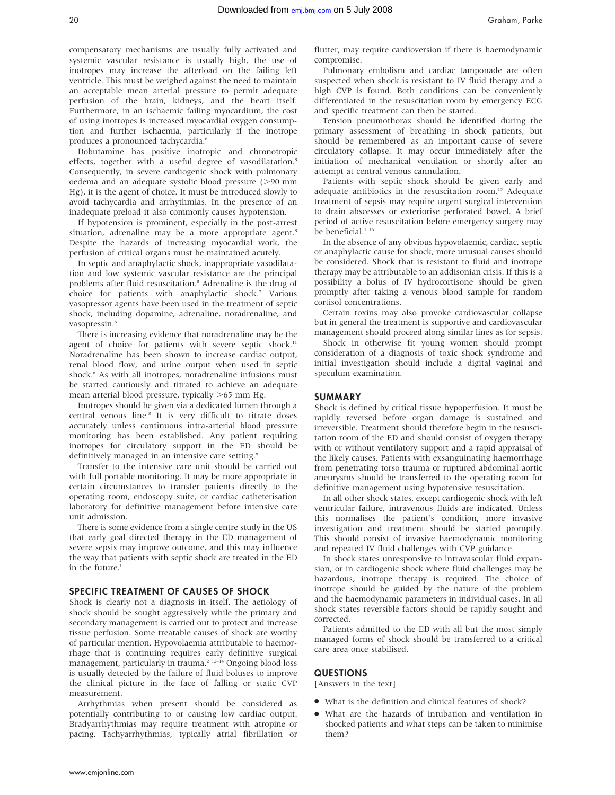compensatory mechanisms are usually fully activated and systemic vascular resistance is usually high, the use of inotropes may increase the afterload on the failing left ventricle. This must be weighed against the need to maintain an acceptable mean arterial pressure to permit adequate perfusion of the brain, kidneys, and the heart itself. Furthermore, in an ischaemic failing myocardium, the cost of using inotropes is increased myocardial oxygen consumption and further ischaemia, particularly if the inotrope produces a pronounced tachycardia.<sup>8</sup>

Dobutamine has positive inotropic and chronotropic effects, together with a useful degree of vasodilatation.<sup>8</sup> Consequently, in severe cardiogenic shock with pulmonary oedema and an adequate systolic blood pressure  $(>90$  mm Hg), it is the agent of choice. It must be introduced slowly to avoid tachycardia and arrhythmias. In the presence of an inadequate preload it also commonly causes hypotension.

If hypotension is prominent, especially in the post-arrest situation, adrenaline may be a more appropriate agent.<sup>8</sup> Despite the hazards of increasing myocardial work, the perfusion of critical organs must be maintained acutely.

In septic and anaphylactic shock, inappropriate vasodilatation and low systemic vascular resistance are the principal problems after fluid resuscitation.8 Adrenaline is the drug of choice for patients with anaphylactic shock.<sup>7</sup> Various vasopressor agents have been used in the treatment of septic shock, including dopamine, adrenaline, noradrenaline, and vasopressin.<sup>8</sup>

There is increasing evidence that noradrenaline may be the agent of choice for patients with severe septic shock.<sup>11</sup> Noradrenaline has been shown to increase cardiac output, renal blood flow, and urine output when used in septic shock.<sup>8</sup> As with all inotropes, noradrenaline infusions must be started cautiously and titrated to achieve an adequate mean arterial blood pressure, typically  $>65$  mm Hg.

Inotropes should be given via a dedicated lumen through a central venous line.<sup>8</sup> It is very difficult to titrate doses accurately unless continuous intra-arterial blood pressure monitoring has been established. Any patient requiring inotropes for circulatory support in the ED should be definitively managed in an intensive care setting.<sup>8</sup>

Transfer to the intensive care unit should be carried out with full portable monitoring. It may be more appropriate in certain circumstances to transfer patients directly to the operating room, endoscopy suite, or cardiac catheterisation laboratory for definitive management before intensive care unit admission.

There is some evidence from a single centre study in the US that early goal directed therapy in the ED management of severe sepsis may improve outcome, and this may influence the way that patients with septic shock are treated in the ED in the future.<sup>1</sup>

#### SPECIFIC TREATMENT OF CAUSES OF SHOCK

Shock is clearly not a diagnosis in itself. The aetiology of shock should be sought aggressively while the primary and secondary management is carried out to protect and increase tissue perfusion. Some treatable causes of shock are worthy of particular mention. Hypovolaemia attributable to haemorrhage that is continuing requires early definitive surgical management, particularly in trauma.<sup>2 12-14</sup> Ongoing blood loss is usually detected by the failure of fluid boluses to improve the clinical picture in the face of falling or static CVP measurement.

Arrhythmias when present should be considered as potentially contributing to or causing low cardiac output. Bradyarrhythmias may require treatment with atropine or pacing. Tachyarrhythmias, typically atrial fibrillation or flutter, may require cardioversion if there is haemodynamic compromise.

Pulmonary embolism and cardiac tamponade are often suspected when shock is resistant to IV fluid therapy and a high CVP is found. Both conditions can be conveniently differentiated in the resuscitation room by emergency ECG and specific treatment can then be started.

Tension pneumothorax should be identified during the primary assessment of breathing in shock patients, but should be remembered as an important cause of severe circulatory collapse. It may occur immediately after the initiation of mechanical ventilation or shortly after an attempt at central venous cannulation.

Patients with septic shock should be given early and adequate antibiotics in the resuscitation room.<sup>15</sup> Adequate treatment of sepsis may require urgent surgical intervention to drain abscesses or exteriorise perforated bowel. A brief period of active resuscitation before emergency surgery may be beneficial.<sup>1 16</sup>

In the absence of any obvious hypovolaemic, cardiac, septic or anaphylactic cause for shock, more unusual causes should be considered. Shock that is resistant to fluid and inotrope therapy may be attributable to an addisonian crisis. If this is a possibility a bolus of IV hydrocortisone should be given promptly after taking a venous blood sample for random cortisol concentrations.

Certain toxins may also provoke cardiovascular collapse but in general the treatment is supportive and cardiovascular management should proceed along similar lines as for sepsis.

Shock in otherwise fit young women should prompt consideration of a diagnosis of toxic shock syndrome and initial investigation should include a digital vaginal and speculum examination.

#### SUMMARY

Shock is defined by critical tissue hypoperfusion. It must be rapidly reversed before organ damage is sustained and irreversible. Treatment should therefore begin in the resuscitation room of the ED and should consist of oxygen therapy with or without ventilatory support and a rapid appraisal of the likely causes. Patients with exsanguinating haemorrhage from penetrating torso trauma or ruptured abdominal aortic aneurysms should be transferred to the operating room for definitive management using hypotensive resuscitation.

In all other shock states, except cardiogenic shock with left ventricular failure, intravenous fluids are indicated. Unless this normalises the patient's condition, more invasive investigation and treatment should be started promptly. This should consist of invasive haemodynamic monitoring and repeated IV fluid challenges with CVP guidance.

In shock states unresponsive to intravascular fluid expansion, or in cardiogenic shock where fluid challenges may be hazardous, inotrope therapy is required. The choice of inotrope should be guided by the nature of the problem and the haemodynamic parameters in individual cases. In all shock states reversible factors should be rapidly sought and corrected.

Patients admitted to the ED with all but the most simply managed forms of shock should be transferred to a critical care area once stabilised.

#### **QUESTIONS**

[Answers in the text]

- What is the definition and clinical features of shock?
- N What are the hazards of intubation and ventilation in shocked patients and what steps can be taken to minimise them?